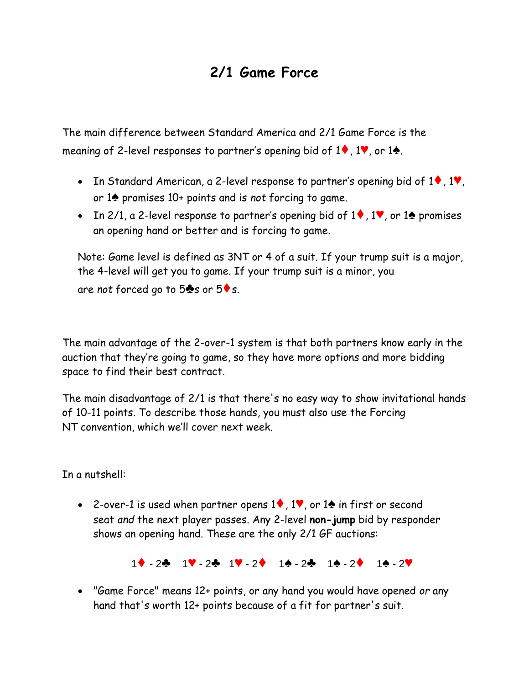## **2/1 Game Force**

The main difference between Standard America and 2/1 Game Force is the meaning of 2-level responses to partner's opening bid of 1♦, 1♥, or 1♠.

- In Standard American, a 2-level response to partner's opening bid of  $1\blacklozenge$ ,  $1\blacktriangledown$ , or 1♠ promises 10+ points and is *not* forcing to game.
- In 2/1, a 2-level response to partner's opening bid of 1♦, 1♥, or 1♠ promises an opening hand or better and is forcing to game.

Note: Game level is defined as 3NT or 4 of a suit. If your trump suit is a major, the 4-level will get you to game. If your trump suit is a minor, you are *not* forced go to 5♣s or 5♦s.

The main advantage of the 2-over-1 system is that both partners know early in the auction that they're going to game, so they have more options and more bidding space to find their best contract.

The main disadvantage of 2/1 is that there's no easy way to show invitational hands of 10-11 points. To describe those hands, you must also use the [Forcing](http://www.kwbridge.com/1ntforce.htm) [NT](http://www.kwbridge.com/1ntforce.htm) convention, which we'll cover next week.

In a nutshell:

• 2-over-1 is used when partner opens 1♦, 1♥, or 1♠ in first or second seat *and* the next player passes. Any 2-level **non-jump** bid by responder shows an opening hand. These are the only 2/1 GF auctions:

1♦ - 2♣ 1♥ - 2♣ 1♥ - 2♦ 1♠ - 2♣ 1♠ - 2♦ 1♠ - 2♥

• "Game Force" means 12+ points, or any hand you would have opened *or* any hand that's worth 12+ points because of a fit for partner's suit.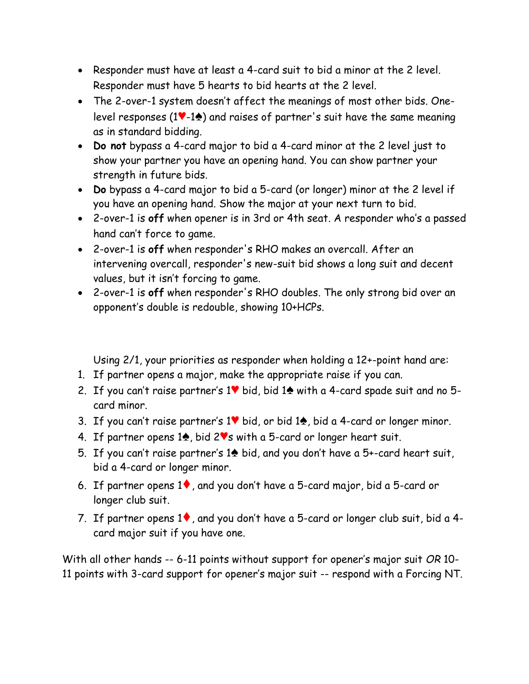- Responder must have at least a 4-card suit to bid a minor at the 2 level. Responder must have 5 hearts to bid hearts at the 2 level.
- The 2-over-1 system doesn't affect the meanings of most other bids. Onelevel responses (1♥-1♠) and raises of partner's suit have the same meaning as in standard bidding.
- **Do not** bypass a 4-card major to bid a 4-card minor at the 2 level just to show your partner you have an opening hand. You can show partner your strength in future bids.
- **Do** bypass a 4-card major to bid a 5-card (or longer) minor at the 2 level if you have an opening hand. Show the major at your next turn to bid.
- 2-over-1 is **off** when opener is in 3rd or 4th seat. A responder who's a passed hand can't force to game.
- 2-over-1 is **off** when responder's RHO makes an overcall. After an intervening overcall, responder's new-suit bid shows a long suit and decent values, but it isn't forcing to game.
- 2-over-1 is **off** when responder's RHO doubles. The only strong bid over an opponent's double is redouble, showing 10+HCPs.

Using 2/1, your priorities as responder when holding a 12+-point hand are:

- 1. If partner opens a major, make the appropriate raise if you can.
- 2. If you can't raise partner's 1♥ bid, bid 1♠ with a 4-card spade suit and no 5 card minor.
- 3. If you can't raise partner's 1♥ bid, or bid 1♠, bid a 4-card or longer minor.
- 4. If partner opens 1♠, bid 2♥s with a 5-card or longer heart suit.
- 5. If you can't raise partner's 1♠ bid, and you don't have a 5+-card heart suit, bid a 4-card or longer minor.
- 6. If partner opens 1♦, and you don't have a 5-card major, bid a 5-card or longer club suit.
- 7. If partner opens 1♦, and you don't have a 5-card or longer club suit, bid a 4 card major suit if you have one.

With all other hands -- 6-11 points without support for opener's major suit *OR* 10- 11 points with 3-card support for opener's major suit -- respond with a [Forcing NT.](http://www.kwbridge.com/1ntforce.htm)